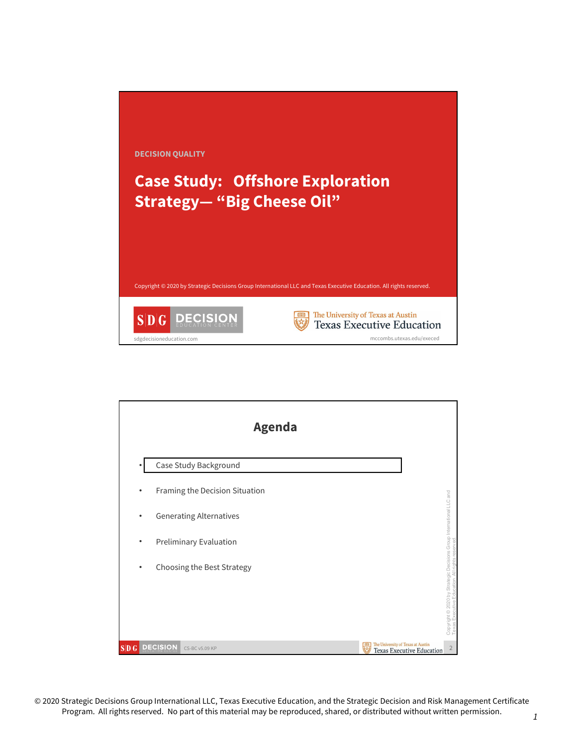

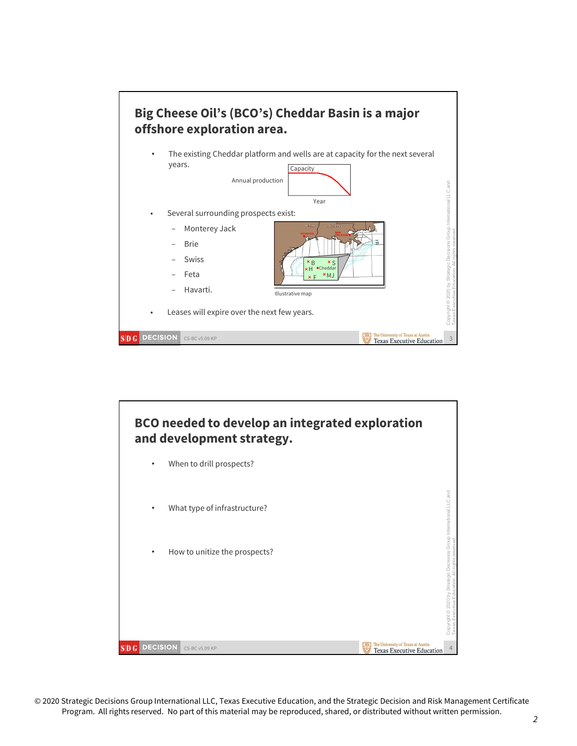

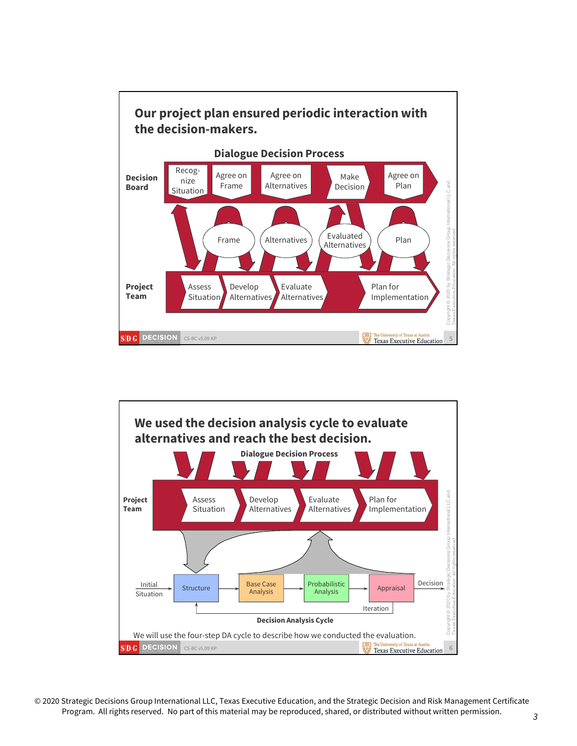

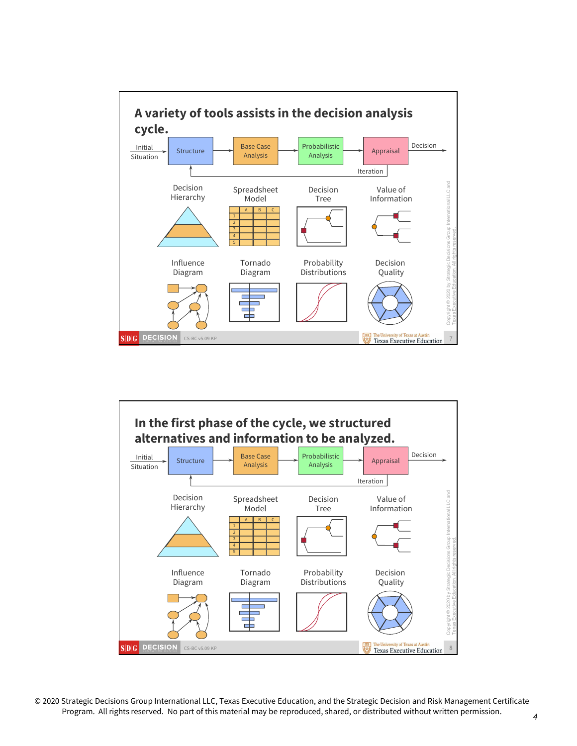

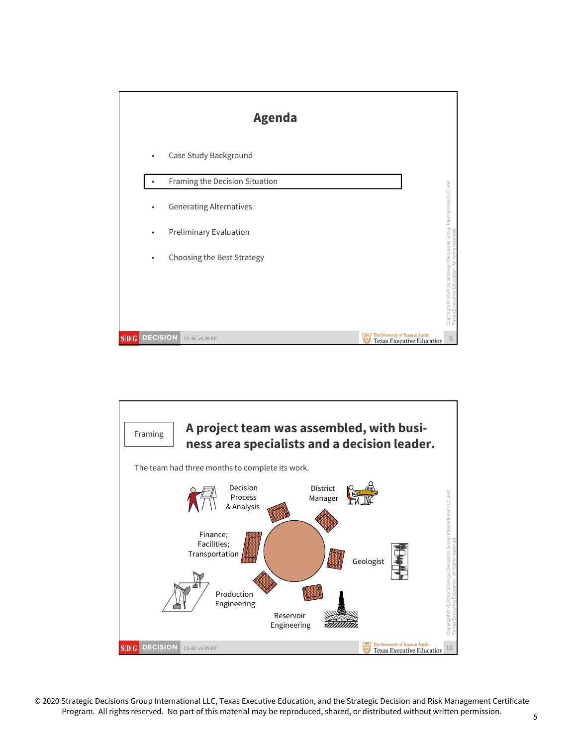

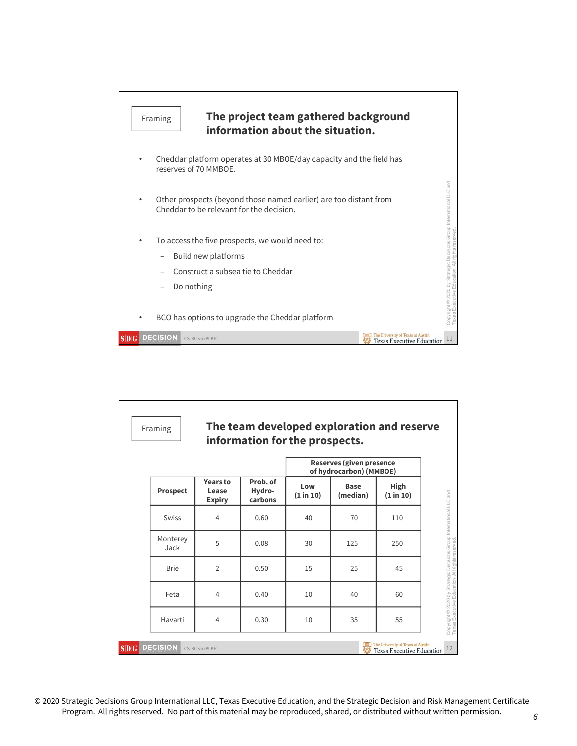

|                  |                                           |                               | Reserves (given presence<br>of hydrocarbon) (MMBOE) |                         |                                                                   |
|------------------|-------------------------------------------|-------------------------------|-----------------------------------------------------|-------------------------|-------------------------------------------------------------------|
| Prospect         | <b>Years to</b><br>Lease<br><b>Expiry</b> | Prob. of<br>Hydro-<br>carbons | Low<br>(1 in 10)                                    | <b>Base</b><br>(median) | High<br>(1 in 10)                                                 |
| Swiss            | 4                                         | 0.60                          | 40                                                  | 70                      | 110                                                               |
| Monterey<br>Jack | 5                                         | 0.08                          | 30                                                  | 125                     | 250                                                               |
| <b>Brie</b>      | $\overline{2}$                            | 0.50                          | 15                                                  | 25                      | 45                                                                |
| Feta             | 4                                         | 0.40                          | 10                                                  | 40                      | 60                                                                |
| Havarti          | $\overline{4}$                            | 0.30                          | 10                                                  | 35                      | 55                                                                |
| SDG DECISION     | CS-BC v5.09 KP                            |                               |                                                     |                         | The University of Texas at Austin<br>Texas Executive Education 12 |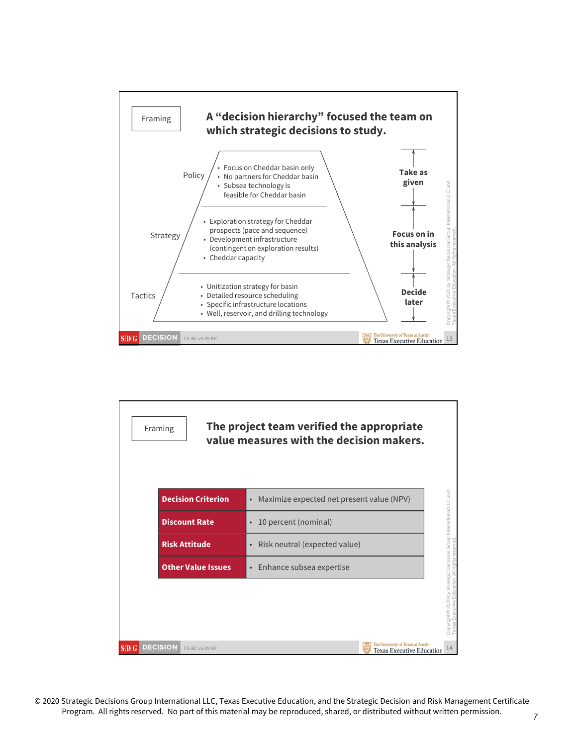

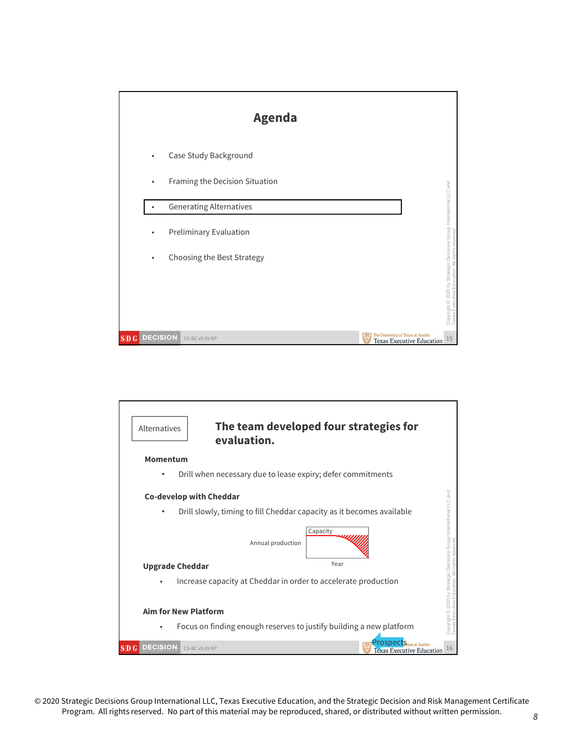

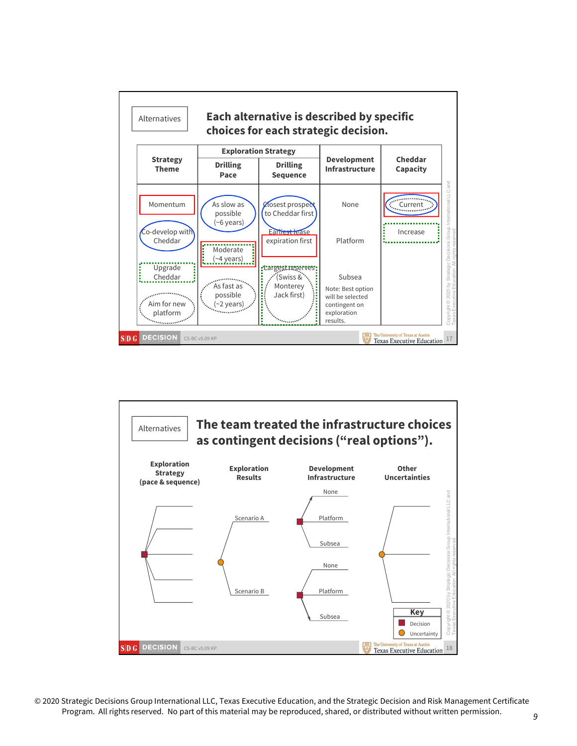

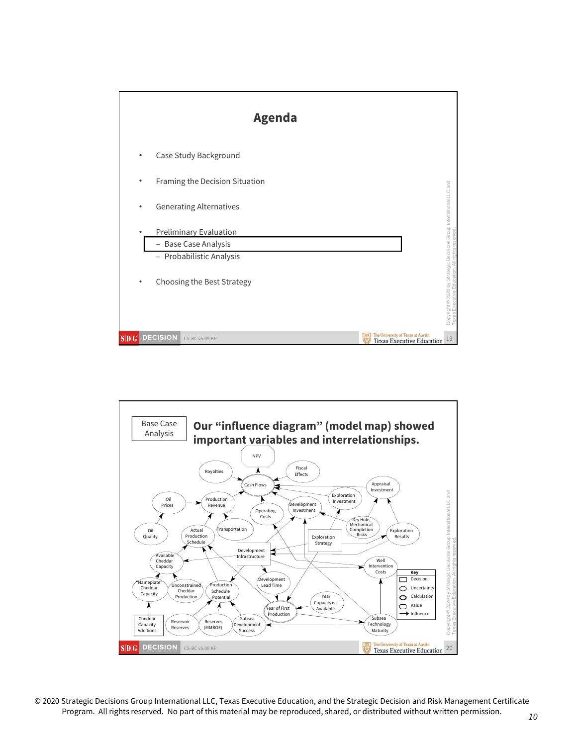

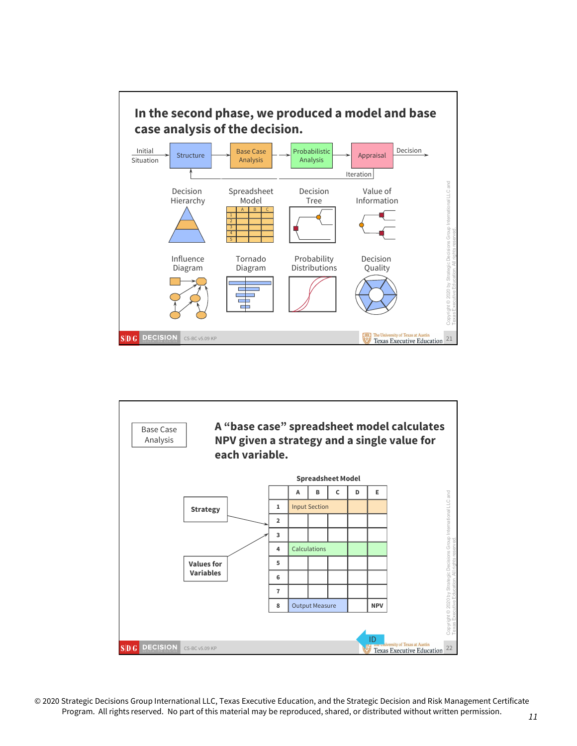

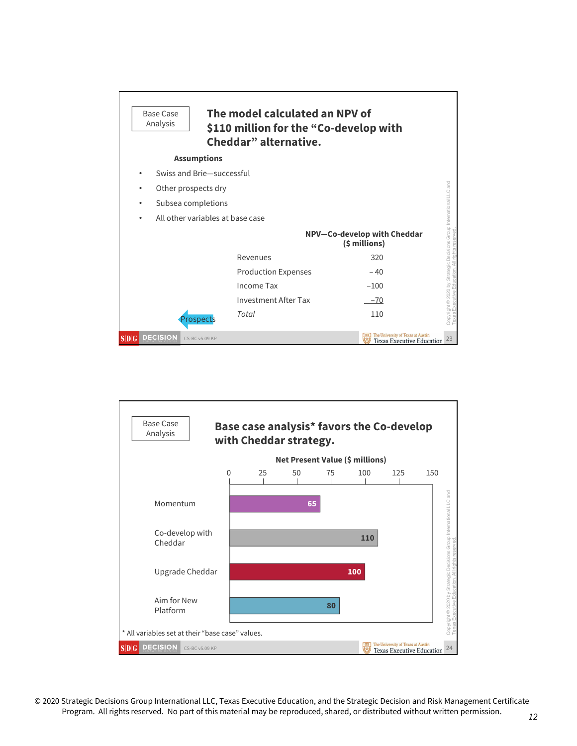| <b>Base Case</b><br>Analysis         |                           | The model calculated an NPV of<br>\$110 million for the "Co-develop with<br>Cheddar" alternative. |                                                                       |                                                                 |
|--------------------------------------|---------------------------|---------------------------------------------------------------------------------------------------|-----------------------------------------------------------------------|-----------------------------------------------------------------|
|                                      | <b>Assumptions</b>        |                                                                                                   |                                                                       |                                                                 |
|                                      | Swiss and Brie-successful |                                                                                                   |                                                                       |                                                                 |
| ٠                                    | Other prospects dry       |                                                                                                   |                                                                       | and                                                             |
| $\bullet$                            | Subsea completions        |                                                                                                   |                                                                       |                                                                 |
| ٠                                    |                           | All other variables at base case                                                                  |                                                                       |                                                                 |
|                                      |                           |                                                                                                   | NPV-Co-develop with Cheddar<br>(\$ millions)                          | Copyright @ 2020 by Strategic Decisions Group International LLC |
|                                      |                           | Revenues                                                                                          | 320                                                                   |                                                                 |
|                                      |                           | <b>Production Expenses</b>                                                                        | $-40$                                                                 |                                                                 |
|                                      |                           | Income Tax                                                                                        | $-100$                                                                |                                                                 |
|                                      |                           | Investment After Tax                                                                              | $-70$                                                                 |                                                                 |
|                                      | rospects                  | Total                                                                                             | 110                                                                   |                                                                 |
| <b>DECISION</b><br>$SD$ <sub>G</sub> | CS-BC v5.09 KP            |                                                                                                   | The University of Texas at Austin<br><b>Texas Executive Education</b> | 23                                                              |

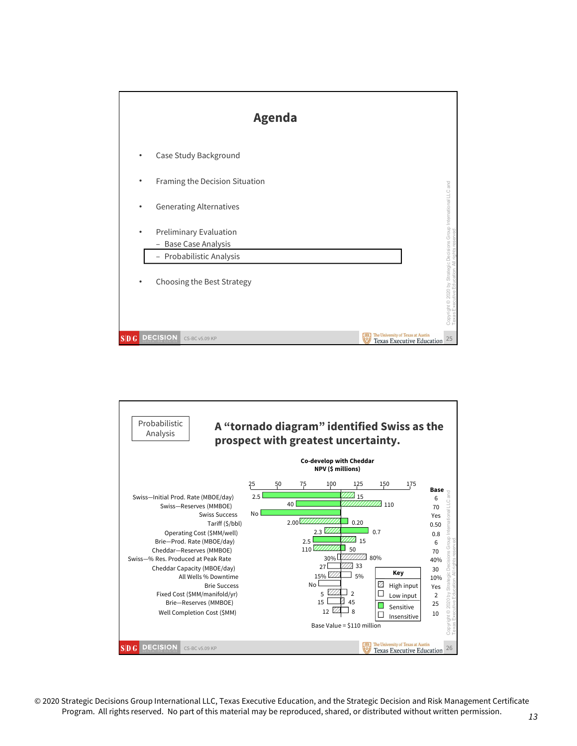

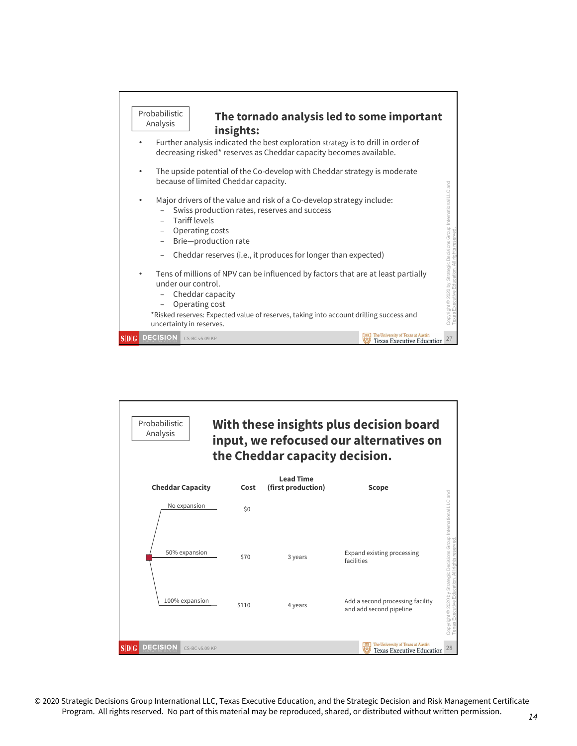

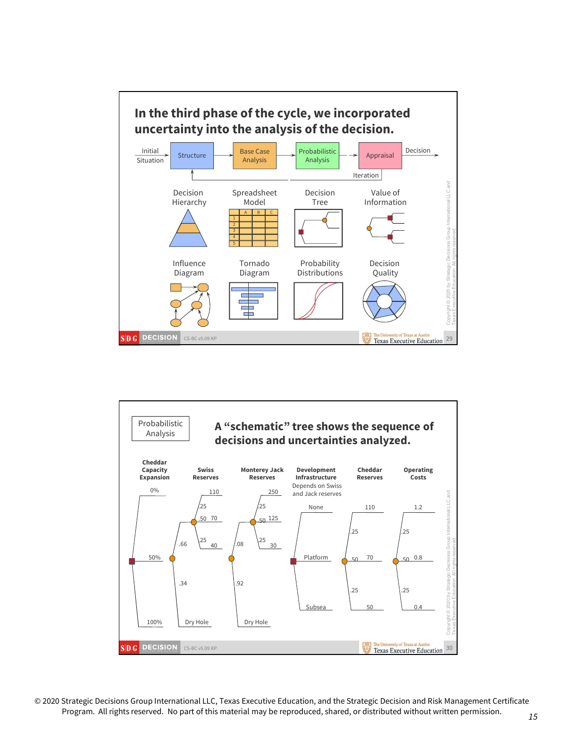

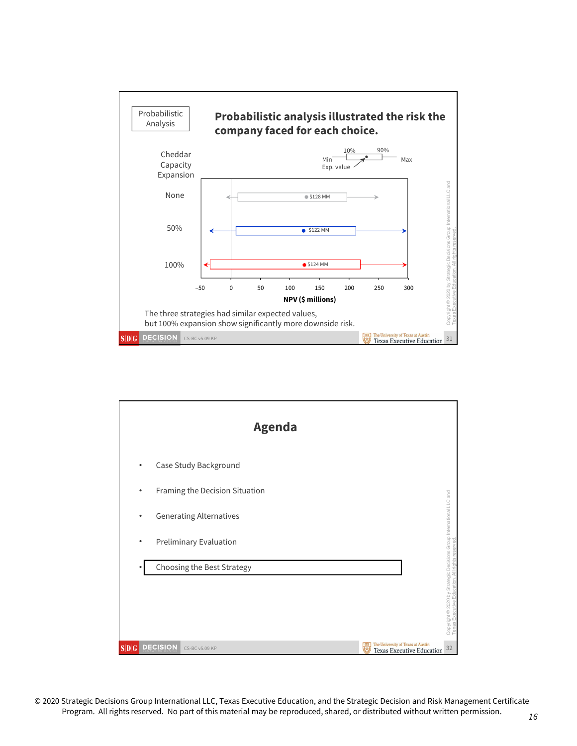

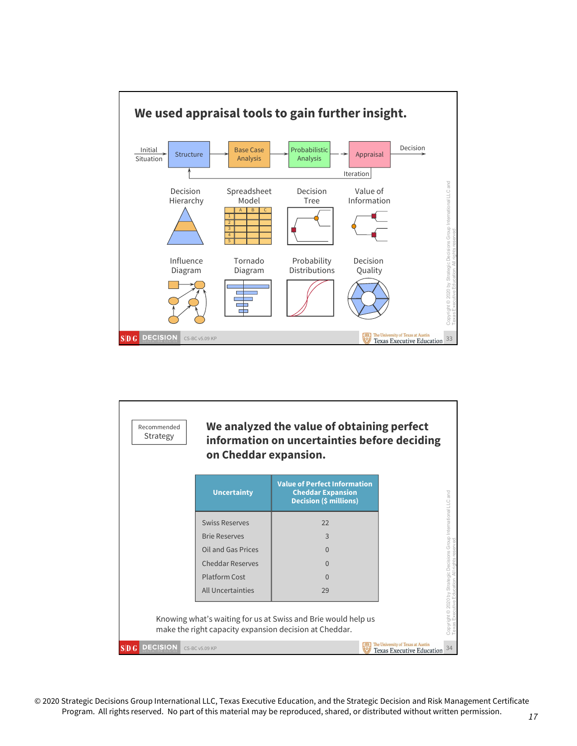

| <b>Swiss Reserves</b><br>22         |
|-------------------------------------|
| <b>Brie Reserves</b><br>3           |
| Oil and Gas Prices<br>$\Omega$      |
| <b>Cheddar Reserves</b><br>$\Omega$ |
| <b>Platform Cost</b><br>$\Omega$    |
| All Uncertainties<br>29             |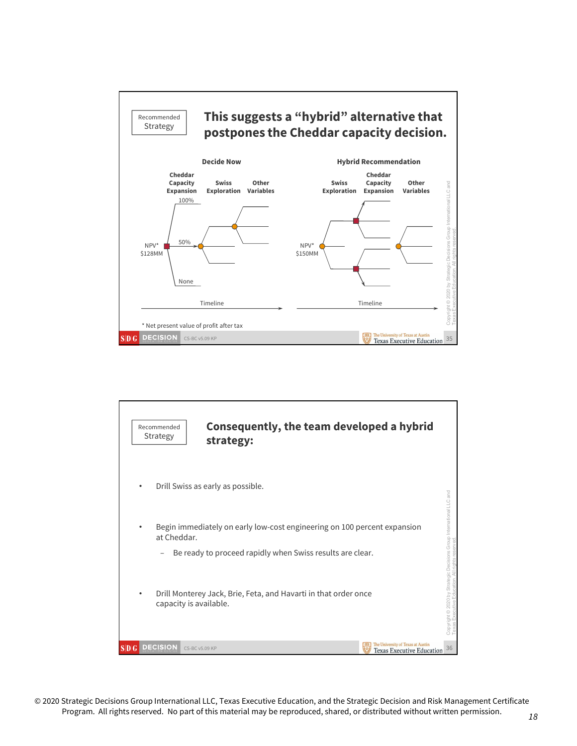

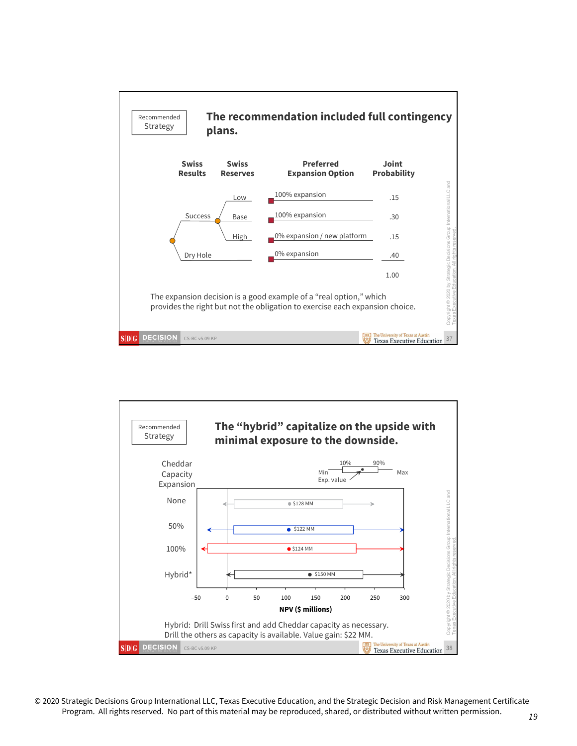

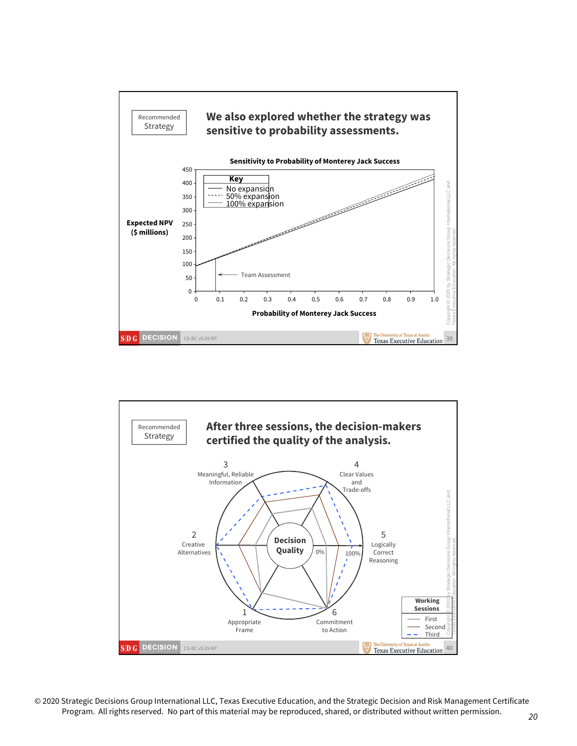